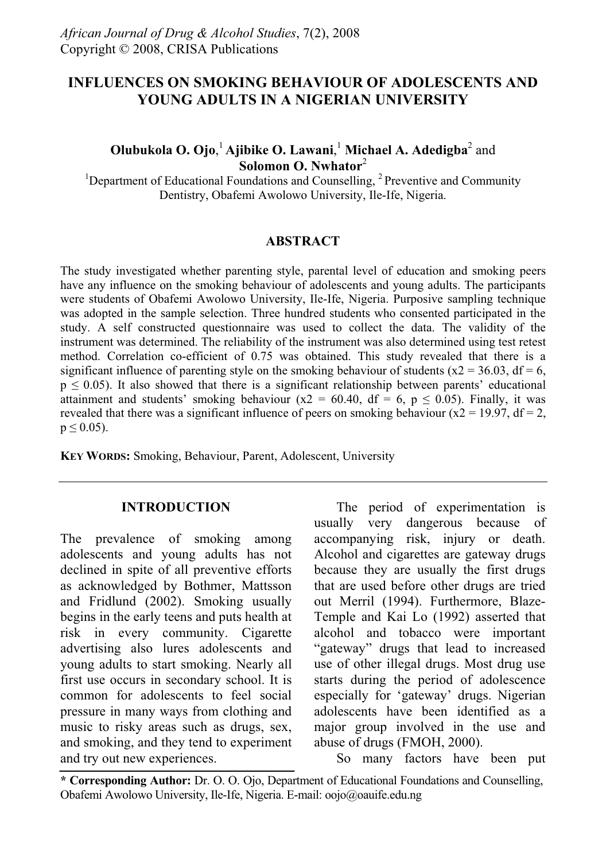## **Olubukola O. Ojo**, <sup>1</sup> **Ajibike O. Lawani**, <sup>1</sup> **Michael A. Adedigba**<sup>2</sup> and **Solomon O. Nwhator**<sup>2</sup>

<sup>1</sup>Department of Educational Foundations and Counselling, <sup>2</sup> Preventive and Community Dentistry, Obafemi Awolowo University, Ile-Ife, Nigeria.

#### **ABSTRACT**

The study investigated whether parenting style, parental level of education and smoking peers have any influence on the smoking behaviour of adolescents and young adults. The participants were students of Obafemi Awolowo University, Ile-Ife, Nigeria. Purposive sampling technique was adopted in the sample selection. Three hundred students who consented participated in the study. A self constructed questionnaire was used to collect the data. The validity of the instrument was determined. The reliability of the instrument was also determined using test retest method. Correlation co-efficient of 0.75 was obtained. This study revealed that there is a significant influence of parenting style on the smoking behaviour of students ( $x2 = 36.03$ , df = 6,  $p \le 0.05$ ). It also showed that there is a significant relationship between parents' educational attainment and students' smoking behaviour (x2 = 60.40, df = 6, p  $\leq$  0.05). Finally, it was revealed that there was a significant influence of peers on smoking behaviour ( $x2 = 19.97$ , df = 2,  $p \le 0.05$ ).

**KEY WORDS:** Smoking, Behaviour, Parent, Adolescent, University

### **INTRODUCTION**

The prevalence of smoking among adolescents and young adults has not declined in spite of all preventive efforts as acknowledged by Bothmer, Mattsson and Fridlund (2002). Smoking usually begins in the early teens and puts health at risk in every community. Cigarette advertising also lures adolescents and young adults to start smoking. Nearly all first use occurs in secondary school. It is common for adolescents to feel social pressure in many ways from clothing and music to risky areas such as drugs, sex, and smoking, and they tend to experiment and try out new experiences.

The period of experimentation is usually very dangerous because of accompanying risk, injury or death. Alcohol and cigarettes are gateway drugs because they are usually the first drugs that are used before other drugs are tried out Merril (1994). Furthermore, Blaze-Temple and Kai Lo (1992) asserted that alcohol and tobacco were important "gateway" drugs that lead to increased use of other illegal drugs. Most drug use starts during the period of adolescence especially for 'gateway' drugs. Nigerian adolescents have been identified as a major group involved in the use and abuse of drugs (FMOH, 2000).

So many factors have been put

**<sup>\*</sup> Corresponding Author:** Dr. O. O. Ojo, Department of Educational Foundations and Counselling, Obafemi Awolowo University, Ile-Ife, Nigeria. E-mail: oojo@oauife.edu.ng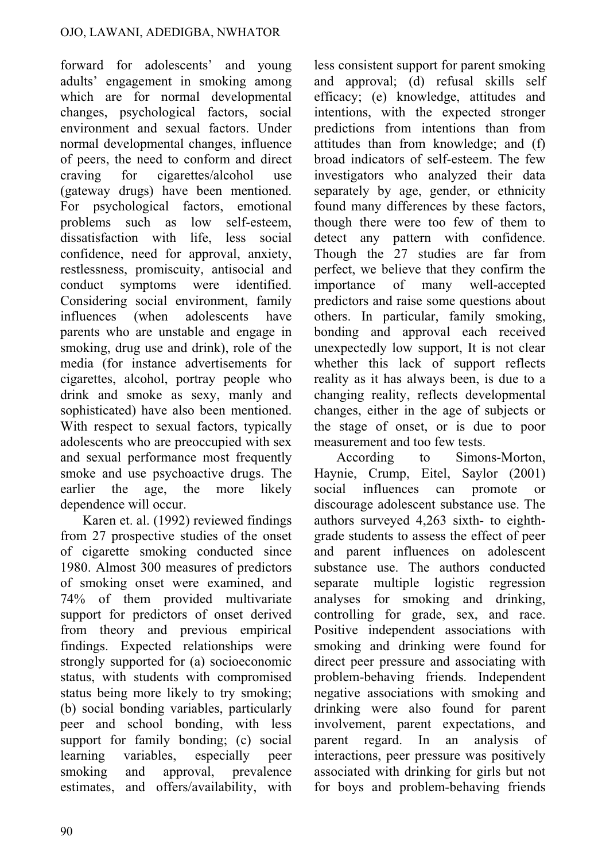forward for adolescents' and young adults' engagement in smoking among which are for normal developmental changes, psychological factors, social environment and sexual factors. Under normal developmental changes, influence of peers, the need to conform and direct craving for cigarettes/alcohol use (gateway drugs) have been mentioned. For psychological factors, emotional problems such as low self-esteem, dissatisfaction with life, less social confidence, need for approval, anxiety, restlessness, promiscuity, antisocial and conduct symptoms were identified. Considering social environment, family influences (when adolescents have parents who are unstable and engage in smoking, drug use and drink), role of the media (for instance advertisements for cigarettes, alcohol, portray people who drink and smoke as sexy, manly and sophisticated) have also been mentioned. With respect to sexual factors, typically adolescents who are preoccupied with sex and sexual performance most frequently smoke and use psychoactive drugs. The earlier the age, the more likely dependence will occur.

Karen et. al. (1992) reviewed findings from 27 prospective studies of the onset of cigarette smoking conducted since 1980. Almost 300 measures of predictors of smoking onset were examined, and 74% of them provided multivariate support for predictors of onset derived from theory and previous empirical findings. Expected relationships were strongly supported for (a) socioeconomic status, with students with compromised status being more likely to try smoking; (b) social bonding variables, particularly peer and school bonding, with less support for family bonding; (c) social learning variables, especially peer smoking and approval, prevalence estimates, and offers/availability, with

less consistent support for parent smoking and approval; (d) refusal skills self efficacy; (e) knowledge, attitudes and intentions, with the expected stronger predictions from intentions than from attitudes than from knowledge; and (f) broad indicators of self-esteem. The few investigators who analyzed their data separately by age, gender, or ethnicity found many differences by these factors, though there were too few of them to detect any pattern with confidence. Though the 27 studies are far from perfect, we believe that they confirm the importance of many well-accepted predictors and raise some questions about others. In particular, family smoking, bonding and approval each received unexpectedly low support, It is not clear whether this lack of support reflects reality as it has always been, is due to a changing reality, reflects developmental changes, either in the age of subjects or the stage of onset, or is due to poor measurement and too few tests.

According to Simons-Morton, Haynie, Crump, Eitel, Saylor (2001) social influences can promote or discourage adolescent substance use. The authors surveyed 4,263 sixth- to eighthgrade students to assess the effect of peer and parent influences on adolescent substance use. The authors conducted separate multiple logistic regression analyses for smoking and drinking, controlling for grade, sex, and race. Positive independent associations with smoking and drinking were found for direct peer pressure and associating with problem-behaving friends. Independent negative associations with smoking and drinking were also found for parent involvement, parent expectations, and parent regard. In an analysis of interactions, peer pressure was positively associated with drinking for girls but not for boys and problem-behaving friends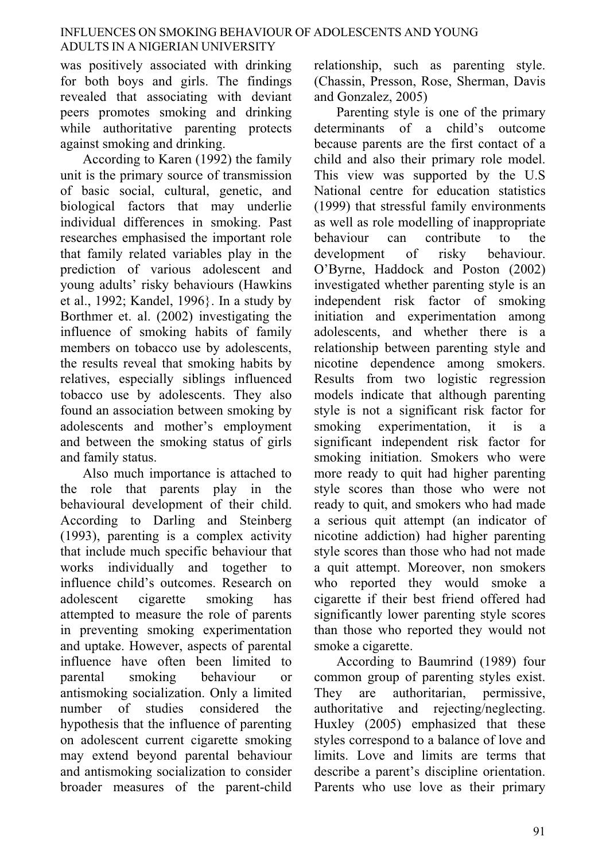was positively associated with drinking for both boys and girls. The findings revealed that associating with deviant peers promotes smoking and drinking while authoritative parenting protects against smoking and drinking.

According to Karen (1992) the family unit is the primary source of transmission of basic social, cultural, genetic, and biological factors that may underlie individual differences in smoking. Past researches emphasised the important role that family related variables play in the prediction of various adolescent and young adults' risky behaviours (Hawkins et al., 1992; Kandel, 1996}. In a study by Borthmer et. al. (2002) investigating the influence of smoking habits of family members on tobacco use by adolescents, the results reveal that smoking habits by relatives, especially siblings influenced tobacco use by adolescents. They also found an association between smoking by adolescents and mother's employment and between the smoking status of girls and family status.

Also much importance is attached to the role that parents play in the behavioural development of their child. According to Darling and Steinberg (1993), parenting is a complex activity that include much specific behaviour that works individually and together to influence child's outcomes. Research on adolescent cigarette smoking has attempted to measure the role of parents in preventing smoking experimentation and uptake. However, aspects of parental influence have often been limited to parental smoking behaviour or antismoking socialization. Only a limited number of studies considered the hypothesis that the influence of parenting on adolescent current cigarette smoking may extend beyond parental behaviour and antismoking socialization to consider broader measures of the parent-child relationship, such as parenting style. (Chassin, Presson, Rose, Sherman, Davis and Gonzalez, 2005)

Parenting style is one of the primary determinants of a child's outcome because parents are the first contact of a child and also their primary role model. This view was supported by the U.S National centre for education statistics (1999) that stressful family environments as well as role modelling of inappropriate behaviour can contribute to the development of risky behaviour. O'Byrne, Haddock and Poston (2002) investigated whether parenting style is an independent risk factor of smoking initiation and experimentation among adolescents, and whether there is a relationship between parenting style and nicotine dependence among smokers. Results from two logistic regression models indicate that although parenting style is not a significant risk factor for smoking experimentation, it is significant independent risk factor for smoking initiation. Smokers who were more ready to quit had higher parenting style scores than those who were not ready to quit, and smokers who had made a serious quit attempt (an indicator of nicotine addiction) had higher parenting style scores than those who had not made a quit attempt. Moreover, non smokers who reported they would smoke a cigarette if their best friend offered had significantly lower parenting style scores than those who reported they would not smoke a cigarette.

According to Baumrind (1989) four common group of parenting styles exist. They are authoritarian, permissive, authoritative and rejecting/neglecting. Huxley (2005) emphasized that these styles correspond to a balance of love and limits. Love and limits are terms that describe a parent's discipline orientation. Parents who use love as their primary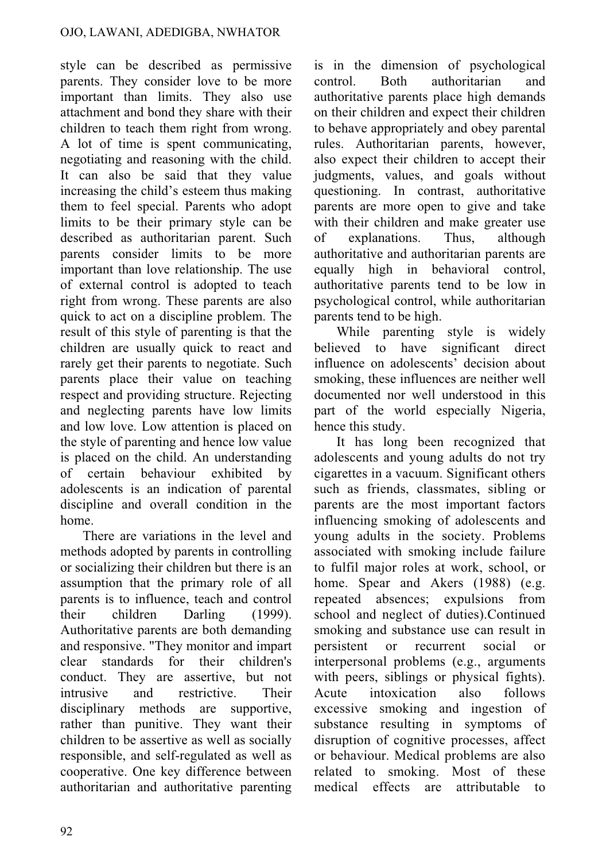style can be described as permissive parents. They consider love to be more important than limits. They also use attachment and bond they share with their children to teach them right from wrong. A lot of time is spent communicating, negotiating and reasoning with the child. It can also be said that they value increasing the child's esteem thus making them to feel special. Parents who adopt limits to be their primary style can be described as authoritarian parent. Such parents consider limits to be more important than love relationship. The use of external control is adopted to teach right from wrong. These parents are also quick to act on a discipline problem. The result of this style of parenting is that the children are usually quick to react and rarely get their parents to negotiate. Such parents place their value on teaching respect and providing structure. Rejecting and neglecting parents have low limits and low love. Low attention is placed on the style of parenting and hence low value is placed on the child. An understanding of certain behaviour exhibited by adolescents is an indication of parental discipline and overall condition in the home.

There are variations in the level and methods adopted by parents in controlling or socializing their children but there is an assumption that the primary role of all parents is to influence, teach and control their children Darling (1999). Authoritative parents are both demanding and responsive. "They monitor and impart clear standards for their children's conduct. They are assertive, but not intrusive and restrictive. Their disciplinary methods are supportive, rather than punitive. They want their children to be assertive as well as socially responsible, and self-regulated as well as cooperative. One key difference between authoritarian and authoritative parenting

is in the dimension of psychological control. Both authoritarian and authoritative parents place high demands on their children and expect their children to behave appropriately and obey parental rules. Authoritarian parents, however, also expect their children to accept their judgments, values, and goals without questioning. In contrast, authoritative parents are more open to give and take with their children and make greater use of explanations. Thus, although authoritative and authoritarian parents are equally high in behavioral control, authoritative parents tend to be low in psychological control, while authoritarian parents tend to be high.

While parenting style is widely believed to have significant direct influence on adolescents' decision about smoking, these influences are neither well documented nor well understood in this part of the world especially Nigeria, hence this study.

It has long been recognized that adolescents and young adults do not try cigarettes in a vacuum. Significant others such as friends, classmates, sibling or parents are the most important factors influencing smoking of adolescents and young adults in the society. Problems associated with smoking include failure to fulfil major roles at work, school, or home. Spear and Akers (1988) (e.g. repeated absences; expulsions from school and neglect of duties).Continued smoking and substance use can result in persistent or recurrent social or interpersonal problems (e.g., arguments with peers, siblings or physical fights). Acute intoxication also follows excessive smoking and ingestion of substance resulting in symptoms of disruption of cognitive processes, affect or behaviour. Medical problems are also related to smoking. Most of these medical effects are attributable to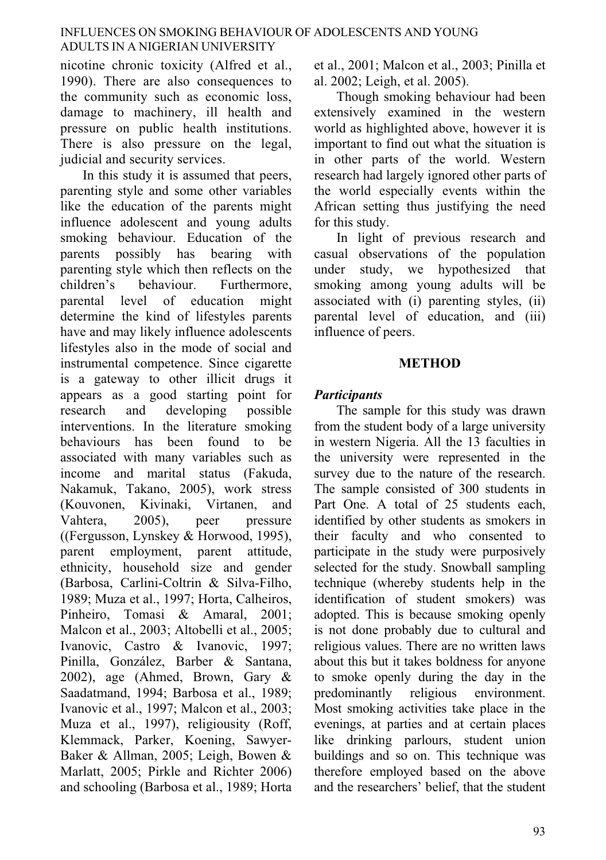nicotine chronic toxicity (Alfred et al., 1990). There are also consequences to the community such as economic loss, damage to machinery, ill health and pressure on public health institutions. There is also pressure on the legal, judicial and security services.

In this study it is assumed that peers, parenting style and some other variables like the education of the parents might influence adolescent and young adults smoking behaviour. Education of the parents possibly has bearing with parenting style which then reflects on the children's behaviour. Furthermore, parental level of education might determine the kind of lifestyles parents have and may likely influence adolescents lifestyles also in the mode of social and instrumental competence. Since cigarette is a gateway to other illicit drugs it appears as a good starting point for research and developing possible interventions. In the literature smoking behaviours has been found to be associated with many variables such as income and marital status (Fakuda, Nakamuk, Takano, 2005), work stress (Kouvonen, Kivinaki, Virtanen, and Vahtera, 2005), peer pressure ((Fergusson, Lynskey & Horwood, 1995), parent employment, parent attitude, ethnicity, household size and gender (Barbosa, Carlini-Coltrin & Silva-Filho, 1989; Muza et al., 1997; Horta, Calheiros, Pinheiro, Tomasi & Amaral, 2001; Malcon et al., 2003; Altobelli et al., 2005; Ivanovic, Castro & Ivanovic, 1997; Pinilla, González, Barber & Santana, 2002), age (Ahmed, Brown, Gary & Saadatmand, 1994; Barbosa et al., 1989; Ivanovic et al., 1997; Malcon et al., 2003; Muza et al., 1997), religiousity (Roff, Klemmack, Parker, Koening, Sawyer-Baker & Allman, 2005; Leigh, Bowen & Marlatt, 2005; Pirkle and Richter 2006) and schooling (Barbosa et al., 1989; Horta et al., 2001; Malcon et al., 2003; Pinilla et al. 2002; Leigh, et al. 2005).

Though smoking behaviour had been extensively examined in the western world as highlighted above, however it is important to find out what the situation is in other parts of the world. Western research had largely ignored other parts of the world especially events within the African setting thus justifying the need for this study.

In light of previous research and casual observations of the population under study, we hypothesized that smoking among young adults will be associated with (i) parenting styles, (ii) parental level of education, and (iii) influence of peers.

## **METHOD**

## *Participants*

The sample for this study was drawn from the student body of a large university in western Nigeria. All the 13 faculties in the university were represented in the survey due to the nature of the research. The sample consisted of 300 students in Part One. A total of 25 students each, identified by other students as smokers in their faculty and who consented to participate in the study were purposively selected for the study. Snowball sampling technique (whereby students help in the identification of student smokers) was adopted. This is because smoking openly is not done probably due to cultural and religious values. There are no written laws about this but it takes boldness for anyone to smoke openly during the day in the predominantly religious environment. Most smoking activities take place in the evenings, at parties and at certain places like drinking parlours, student union buildings and so on. This technique was therefore employed based on the above and the researchers' belief, that the student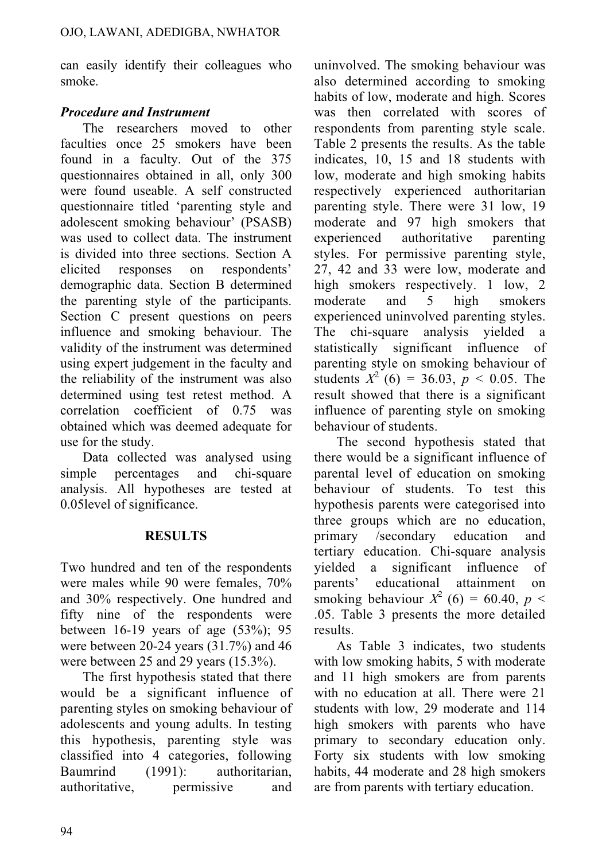can easily identify their colleagues who smoke.

# *Procedure and Instrument*

The researchers moved to other faculties once 25 smokers have been found in a faculty. Out of the 375 questionnaires obtained in all, only 300 were found useable. A self constructed questionnaire titled 'parenting style and adolescent smoking behaviour' (PSASB) was used to collect data. The instrument is divided into three sections. Section A elicited responses on respondents' demographic data. Section B determined the parenting style of the participants. Section C present questions on peers influence and smoking behaviour. The validity of the instrument was determined using expert judgement in the faculty and the reliability of the instrument was also determined using test retest method. A correlation coefficient of 0.75 was obtained which was deemed adequate for use for the study.

Data collected was analysed using simple percentages and chi-square analysis. All hypotheses are tested at 0.05level of significance.

## **RESULTS**

Two hundred and ten of the respondents were males while 90 were females, 70% and 30% respectively. One hundred and fifty nine of the respondents were between 16-19 years of age (53%); 95 were between 20-24 years (31.7%) and 46 were between 25 and 29 years (15.3%).

The first hypothesis stated that there would be a significant influence of parenting styles on smoking behaviour of adolescents and young adults. In testing this hypothesis, parenting style was classified into 4 categories, following Baumrind (1991): authoritarian, authoritative, permissive and

uninvolved. The smoking behaviour was also determined according to smoking habits of low, moderate and high. Scores was then correlated with scores of respondents from parenting style scale. Table 2 presents the results. As the table indicates, 10, 15 and 18 students with low, moderate and high smoking habits respectively experienced authoritarian parenting style. There were 31 low, 19 moderate and 97 high smokers that experienced authoritative parenting styles. For permissive parenting style, 27, 42 and 33 were low, moderate and high smokers respectively. 1 low, 2 moderate and 5 high smokers experienced uninvolved parenting styles. The chi-square analysis yielded a statistically significant influence of parenting style on smoking behaviour of students  $X^2$  (6) = 36.03,  $p < 0.05$ . The result showed that there is a significant influence of parenting style on smoking behaviour of students.

The second hypothesis stated that there would be a significant influence of parental level of education on smoking behaviour of students. To test this hypothesis parents were categorised into three groups which are no education, primary /secondary education and tertiary education. Chi-square analysis yielded a significant influence of parents' educational attainment on smoking behaviour  $X^2$  (6) = 60.40,  $p$  < .05. Table 3 presents the more detailed results.

As Table 3 indicates, two students with low smoking habits, 5 with moderate and 11 high smokers are from parents with no education at all. There were 21 students with low, 29 moderate and 114 high smokers with parents who have primary to secondary education only. Forty six students with low smoking habits, 44 moderate and 28 high smokers are from parents with tertiary education.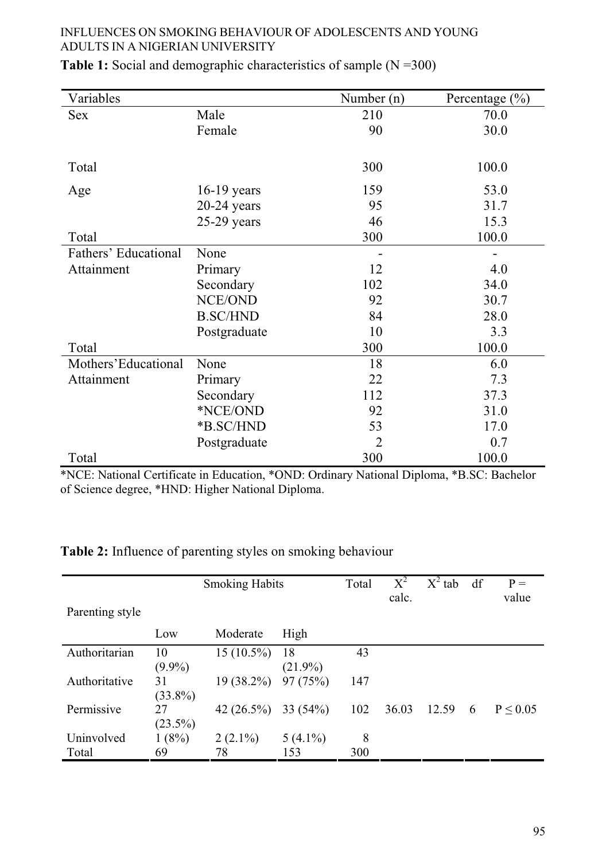| Variables            |                 | Number (n)     | Percentage $(\% )$ |
|----------------------|-----------------|----------------|--------------------|
| Sex                  | Male            | 210            | 70.0               |
|                      | Female          | 90             | 30.0               |
|                      |                 |                |                    |
| Total                |                 | 300            | 100.0              |
| Age                  | $16-19$ years   | 159            | 53.0               |
|                      | $20-24$ years   | 95             | 31.7               |
|                      | $25-29$ years   | 46             | 15.3               |
| Total                |                 | 300            | 100.0              |
| Fathers' Educational | None            |                |                    |
| Attainment           | Primary         | 12             | 4.0                |
|                      | Secondary       | 102            | 34.0               |
|                      | <b>NCE/OND</b>  | 92             | 30.7               |
|                      | <b>B.SC/HND</b> | 84             | 28.0               |
|                      | Postgraduate    | 10             | 3.3                |
| Total                |                 | 300            | 100.0              |
| Mothers' Educational | None            | 18             | 6.0                |
| Attainment           | Primary         | 22             | 7.3                |
|                      | Secondary       | 112            | 37.3               |
|                      | *NCE/OND        | 92             | 31.0               |
|                      | *B.SC/HND       | 53             | 17.0               |
|                      | Postgraduate    | $\overline{2}$ | 0.7                |
| Total                |                 | 300            | 100.0              |

|  |  |  |  | <b>Table 1:</b> Social and demographic characteristics of sample $(N = 300)$ |
|--|--|--|--|------------------------------------------------------------------------------|
|--|--|--|--|------------------------------------------------------------------------------|

\*NCE: National Certificate in Education, \*OND: Ordinary National Diploma, \*B.SC: Bachelor of Science degree, \*HND: Higher National Diploma.

**Table 2:** Influence of parenting styles on smoking behaviour

|                 |            | <b>Smoking Habits</b> |            | Total | $X^2$<br>calc. | $X^2$ tab | df | $P =$<br>value |
|-----------------|------------|-----------------------|------------|-------|----------------|-----------|----|----------------|
| Parenting style |            |                       |            |       |                |           |    |                |
|                 | Low        | Moderate              | High       |       |                |           |    |                |
| Authoritarian   | 10         | $15(10.5\%)$          | 18         | 43    |                |           |    |                |
|                 | $(9.9\%)$  |                       | $(21.9\%)$ |       |                |           |    |                |
| Authoritative   | 31         | 19 (38.2%)            | 97(75%)    | 147   |                |           |    |                |
|                 | $(33.8\%)$ |                       |            |       |                |           |    |                |
| Permissive      | 27         | 42 $(26.5\%)$         | 33(54%)    | 102   | 36.03          | 12.59     | 6  | P < 0.05       |
|                 | $(23.5\%)$ |                       |            |       |                |           |    |                |
| Uninvolved      | 1(8%)      | $2(2.1\%)$            | $5(4.1\%)$ | 8     |                |           |    |                |
| Total           | 69         | 78                    | 153        | 300   |                |           |    |                |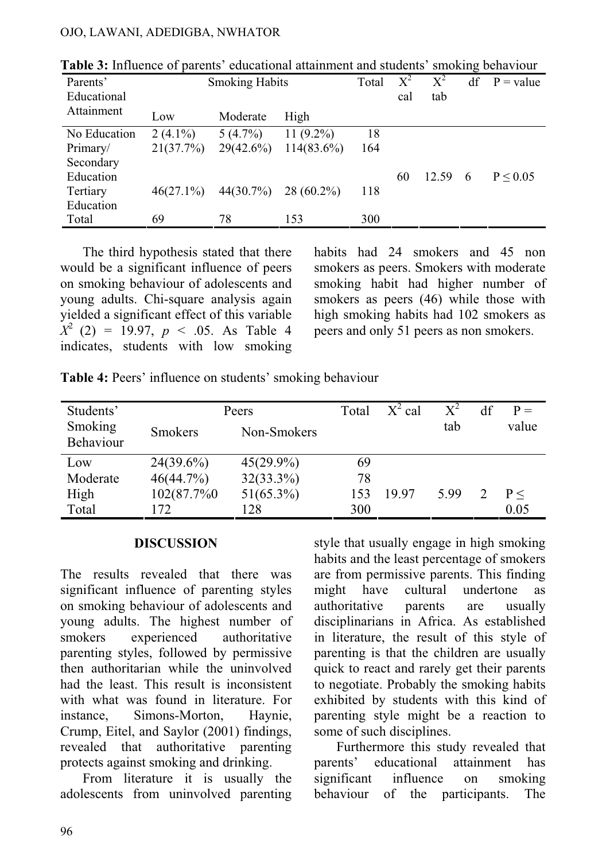### OJO, LAWANI, ADEDIGBA, NWHATOR

| Parents'     | <b>Smoking Habits</b> |              |               | Total | $\overline{\mathrm{X}^2}$ | $\overline{\mathrm{X}^2}$ | df | $P = value$ |
|--------------|-----------------------|--------------|---------------|-------|---------------------------|---------------------------|----|-------------|
| Educational  |                       |              |               |       | cal                       | tab                       |    |             |
| Attainment   | Low                   | Moderate     | High          |       |                           |                           |    |             |
| No Education | $2(4.1\%)$            | $5(4.7\%)$   | 11 $(9.2\%)$  | 18    |                           |                           |    |             |
| Primary/     | 21(37.7%)             | $29(42.6\%)$ | $114(83.6\%)$ | 164   |                           |                           |    |             |
| Secondary    |                       |              |               |       |                           |                           |    |             |
| Education    |                       |              |               |       | 60                        | 12.59                     | 6  | P < 0.05    |
| Tertiary     | $46(27.1\%)$          | $44(30.7\%)$ | $28(60.2\%)$  | 118   |                           |                           |    |             |
| Education    |                       |              |               |       |                           |                           |    |             |
| Total        | 69                    | 78           | 153           | 300   |                           |                           |    |             |

**Table 3:** Influence of parents' educational attainment and students' smoking behaviour

The third hypothesis stated that there would be a significant influence of peers on smoking behaviour of adolescents and young adults. Chi-square analysis again yielded a significant effect of this variable  $\chi^2$  (2) = 19.97, *p* < .05. As Table 4 indicates, students with low smoking

habits had 24 smokers and 45 non smokers as peers. Smokers with moderate smoking habit had higher number of smokers as peers (46) while those with high smoking habits had 102 smokers as peers and only 51 peers as non smokers.

**Table 4:** Peers' influence on students' smoking behaviour

| Students'            | Peers          | Total        | $X^2$ cal | $X^2$ | df   | $P =$ |       |
|----------------------|----------------|--------------|-----------|-------|------|-------|-------|
| Smoking<br>Behaviour | <b>Smokers</b> | Non-Smokers  |           |       | tab  |       | value |
| Low                  | $24(39.6\%)$   | $45(29.9\%)$ | 69        |       |      |       |       |
| Moderate             | 46(44.7%)      | $32(33.3\%)$ | 78        |       |      |       |       |
| High                 | 102(87.7%0)    | $51(65.3\%)$ | 153       | 19 97 | 5.99 |       | P<    |
| Total                | 172            | 128          | 300       |       |      |       | 0.05  |

## **DISCUSSION**

The results revealed that there was significant influence of parenting styles on smoking behaviour of adolescents and young adults. The highest number of smokers experienced authoritative smokers experienced authoritative parenting styles, followed by permissive then authoritarian while the uninvolved had the least. This result is inconsistent with what was found in literature. For instance, Simons-Morton, Haynie, Crump, Eitel, and Saylor (2001) findings, revealed that authoritative parenting protects against smoking and drinking.

From literature it is usually the adolescents from uninvolved parenting

style that usually engage in high smoking habits and the least percentage of smokers are from permissive parents. This finding might have cultural undertone as authoritative parents are usually disciplinarians in Africa. As established in literature, the result of this style of parenting is that the children are usually quick to react and rarely get their parents to negotiate. Probably the smoking habits exhibited by students with this kind of parenting style might be a reaction to some of such disciplines.

Furthermore this study revealed that<br>ents' educational attainment has parents' educational attainment has significant influence on smoking behaviour of the participants. The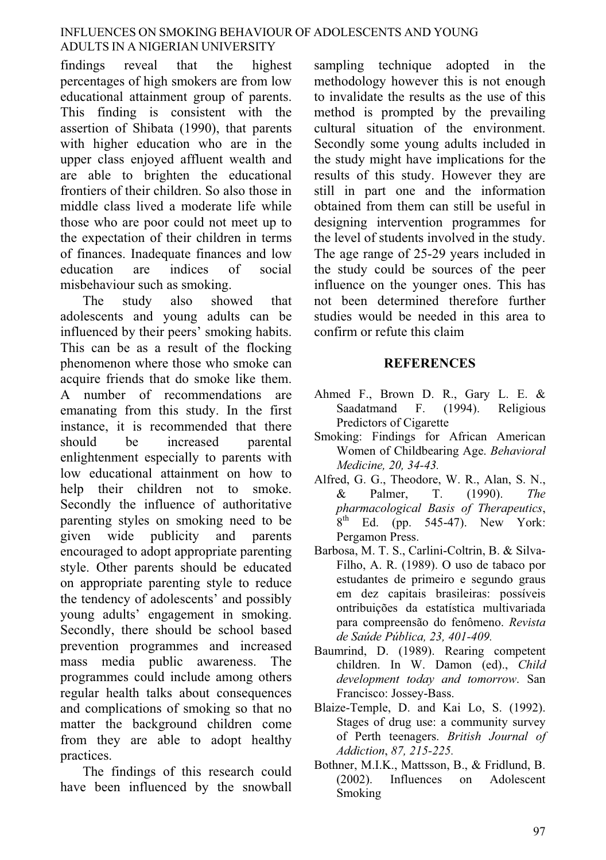findings reveal that the highest percentages of high smokers are from low educational attainment group of parents. This finding is consistent with the assertion of Shibata (1990), that parents with higher education who are in the upper class enjoyed affluent wealth and are able to brighten the educational frontiers of their children. So also those in middle class lived a moderate life while those who are poor could not meet up to the expectation of their children in terms of finances. Inadequate finances and low education are indices of social misbehaviour such as smoking.

The study also showed that adolescents and young adults can be influenced by their peers' smoking habits. This can be as a result of the flocking phenomenon where those who smoke can acquire friends that do smoke like them. A number of recommendations are emanating from this study. In the first instance, it is recommended that there should be increased parental enlightenment especially to parents with low educational attainment on how to help their children not to smoke. Secondly the influence of authoritative parenting styles on smoking need to be given wide publicity and parents encouraged to adopt appropriate parenting style. Other parents should be educated on appropriate parenting style to reduce the tendency of adolescents' and possibly young adults' engagement in smoking. Secondly, there should be school based prevention programmes and increased mass media public awareness. The programmes could include among others regular health talks about consequences and complications of smoking so that no matter the background children come from they are able to adopt healthy practices.

The findings of this research could have been influenced by the snowball sampling technique adopted in the methodology however this is not enough to invalidate the results as the use of this method is prompted by the prevailing cultural situation of the environment. Secondly some young adults included in the study might have implications for the results of this study. However they are still in part one and the information obtained from them can still be useful in designing intervention programmes for the level of students involved in the study. The age range of 25-29 years included in the study could be sources of the peer influence on the younger ones. This has not been determined therefore further studies would be needed in this area to confirm or refute this claim

## **REFERENCES**

- Ahmed F., Brown D. R., Gary L. E. & Saadatmand F. (1994). Religious Predictors of Cigarette
- Smoking: Findings for African American Women of Childbearing Age. *Behavioral Medicine, 20, 34-43.*
- Alfred, G. G., Theodore, W. R., Alan, S. N., & Palmer, T. (1990). *The pharmacological Basis of Therapeutics*,  $8<sup>th</sup>$  Ed. (pp. 545-47). New York: Pergamon Press.
- Barbosa, M. T. S., Carlini-Coltrin, B. & Silva-Filho, A. R. (1989). O uso de tabaco por estudantes de primeiro e segundo graus em dez capitais brasileiras: possíveis ontribuições da estatística multivariada para compreensão do fenômeno. *Revista de Saúde Pública, 23, 401-409.*
- Baumrind, D. (1989). Rearing competent children. In W. Damon (ed)., *Child development today and tomorrow*. San Francisco: Jossey-Bass.
- Blaize-Temple, D. and Kai Lo, S. (1992). Stages of drug use: a community survey of Perth teenagers. *British Journal of Addiction*, *87, 215-225.*
- Bothner, M.I.K., Mattsson, B., & Fridlund, B. (2002). Influences on Adolescent Smoking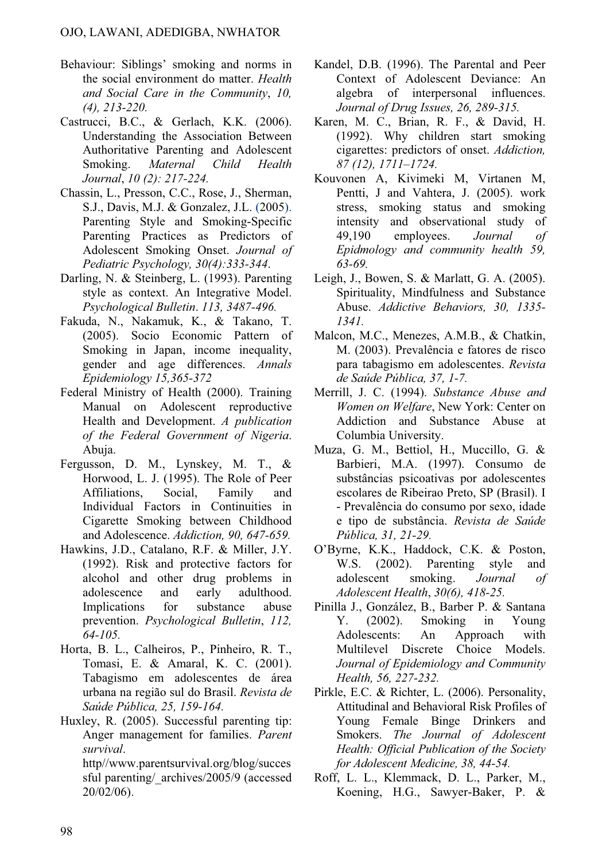- Behaviour: Siblings' smoking and norms in the social environment do matter. *Health and Social Care in the Community*, *10, (4), 213-220.*
- Castrucci, B.C., & Gerlach, K.K. (2006). Understanding the Association Between Authoritative Parenting and Adolescent Smoking. *Maternal Child Health Journal*, *10 (2): 217-224.*
- Chassin, L., Presson, C.C., Rose, J., Sherman, S.J., Davis, M.J. & Gonzalez, J.L. (2005). Parenting Style and Smoking-Specific Parenting Practices as Predictors of Adolescent Smoking Onset. *Journal of Pediatric Psychology, 30(4):333-344*.
- Darling, N. & Steinberg, L. (1993). Parenting style as context. An Integrative Model. *Psychological Bulletin*. *113, 3487-496.*
- Fakuda, N., Nakamuk, K., & Takano, T. (2005). Socio Economic Pattern of Smoking in Japan, income inequality, gender and age differences. *Annals Epidemiology 15,365-372*
- Federal Ministry of Health (2000). Training Manual on Adolescent reproductive Health and Development. *A publication of the Federal Government of Nigeria*. Abuja.
- Fergusson, D. M., Lynskey, M. T., & Horwood, L. J. (1995). The Role of Peer Affiliations, Social, Family and Individual Factors in Continuities in Cigarette Smoking between Childhood and Adolescence. *Addiction, 90, 647-659.*
- Hawkins, J.D., Catalano, R.F. & Miller, J.Y. (1992). Risk and protective factors for alcohol and other drug problems in<br>adolescence and early adulthood. adolescence and early adulthood. Implications for substance abuse prevention. *Psychological Bulletin*, *112, 64-105.*
- Horta, B. L., Calheiros, P., Pinheiro, R. T., Tomasi, E. & Amaral, K. C. (2001). Tabagismo em adolescentes de área urbana na região sul do Brasil. *Revista de Saúde Pública, 25, 159-164.*
- Huxley, R. (2005). Successful parenting tip: Anger management for families. *Parent survival*. http//www.parentsurvival.org/blog/succes sful parenting/\_archives/2005/9 (accessed 20/02/06).
- Kandel, D.B. (1996). The Parental and Peer Context of Adolescent Deviance: An algebra of interpersonal influences. *Journal of Drug Issues, 26, 289-315.*
- Karen, M. C., Brian, R. F., & David, H. (1992). Why children start smoking cigarettes: predictors of onset. *Addiction, 87 (12), 1711–1724.*
- Kouvonen A, Kivimeki M, Virtanen M, Pentti, J and Vahtera, J. (2005). work stress, smoking status and smoking intensity and observational study of 49,190 employees. *Journal of Epidmology and community health 59, 63-69.*
- Leigh, J., Bowen, S. & Marlatt, G. A. (2005). Spirituality, Mindfulness and Substance Abuse. *Addictive Behaviors, 30, 1335- 1341.*
- Malcon, M.C., Menezes, A.M.B., & Chatkin, M. (2003). Prevalência e fatores de risco para tabagismo em adolescentes. *Revista de Saúde Pública, 37, 1-7.*
- Merrill, J. C. (1994). *Substance Abuse and Women on Welfare*, New York: Center on Addiction and Substance Abuse at Columbia University.
- Muza, G. M., Bettiol, H., Muccillo, G. & Barbieri, M.A. (1997). Consumo de substâncias psicoativas por adolescentes escolares de Ribeirao Preto, SP (Brasil). I - Prevalência do consumo por sexo, idade e tipo de substância. *Revista de Saúde Pública, 31, 21-29.*
- O'Byrne, K.K., Haddock, C.K. & Poston, W.S. (2002). Parenting style and adolescent smoking. *Journal of Adolescent Health*, *30(6), 418-25.*
- Pinilla J., González, B., Barber P. & Santana Y. (2002). Smoking in Young Adolescents: An Approach with Multilevel Discrete Choice Models. *Journal of Epidemiology and Community Health, 56, 227-232.*
- Pirkle, E.C. & Richter, L. (2006). Personality, Attitudinal and Behavioral Risk Profiles of Young Female Binge Drinkers and Smokers. *The Journal of Adolescent Health: Official Publication of the Society for Adolescent Medicine, 38, 44-54.*
- Roff, L. L., Klemmack, D. L., Parker, M., Koening, H.G., Sawyer-Baker, P. &